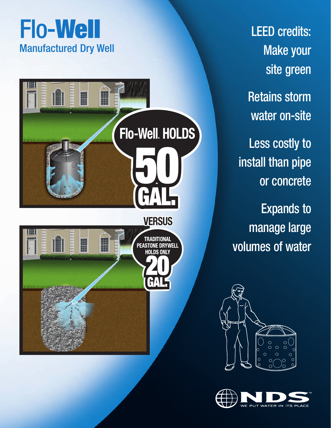## Flo-**Well** Manufactured Dry Well



LEED credits: Make your site green Retains storm water on-site Less costly to install than pipe or concrete Expands to manage large

volumes of water